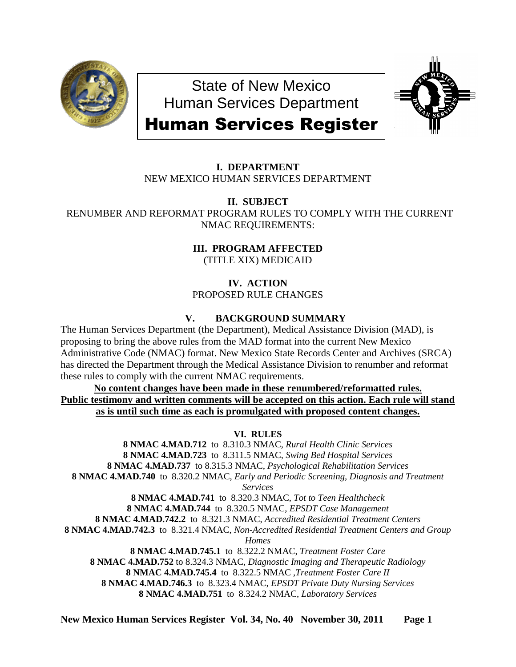

State of New Mexico Human Services Department



# Human Services Register

# **I. DEPARTMENT** NEW MEXICO HUMAN SERVICES DEPARTMENT

**II. SUBJECT** RENUMBER AND REFORMAT PROGRAM RULES TO COMPLY WITH THE CURRENT NMAC REQUIREMENTS:

> **III. PROGRAM AFFECTED** (TITLE XIX) MEDICAID

> **IV. ACTION** PROPOSED RULE CHANGES

# **V. BACKGROUND SUMMARY**

The Human Services Department (the Department), Medical Assistance Division (MAD), is proposing to bring the above rules from the MAD format into the current New Mexico Administrative Code (NMAC) format. New Mexico State Records Center and Archives (SRCA) has directed the Department through the Medical Assistance Division to renumber and reformat these rules to comply with the current NMAC requirements.

**No content changes have been made in these renumbered/reformatted rules. Public testimony and written comments will be accepted on this action. Each rule will stand as is until such time as each is promulgated with proposed content changes.**

**VI. RULES**

**8 NMAC 4.MAD.712** to 8.310.3 NMAC, *Rural Health Clinic Services* **8 NMAC 4.MAD.723** to 8.311.5 NMAC, *Swing Bed Hospital Services* **8 NMAC 4.MAD.737** to 8.315.3 NMAC, *Psychological Rehabilitation Services* **8 NMAC 4.MAD.740** to 8.320.2 NMAC, *Early and Periodic Screening, Diagnosis and Treatment Services* **8 NMAC 4.MAD.741** to 8.320.3 NMAC, *Tot to Teen Healthcheck* **8 NMAC 4.MAD.744** to 8.320.5 NMAC, *EPSDT Case Management* **8 NMAC 4.MAD.742.2** to 8.321.3 NMAC, *Accredited Residential Treatment Centers* **8 NMAC 4.MAD.742.3** to 8.321.4 NMAC, *Non-Accredited Residential Treatment Centers and Group Homes* **8 NMAC 4.MAD.745.1** to 8.322.2 NMAC, *Treatment Foster Care* **8 NMAC 4.MAD.752** to 8.324.3 NMAC, *Diagnostic Imaging and Therapeutic Radiology* **8 NMAC 4.MAD.745.4** to 8.322.5 NMAC ,*Treatment Foster Care II* **8 NMAC 4.MAD.746.3** to 8.323.4 NMAC, *EPSDT Private Duty Nursing Services* **8 NMAC 4.MAD.751** to 8.324.2 NMAC, *Laboratory Services*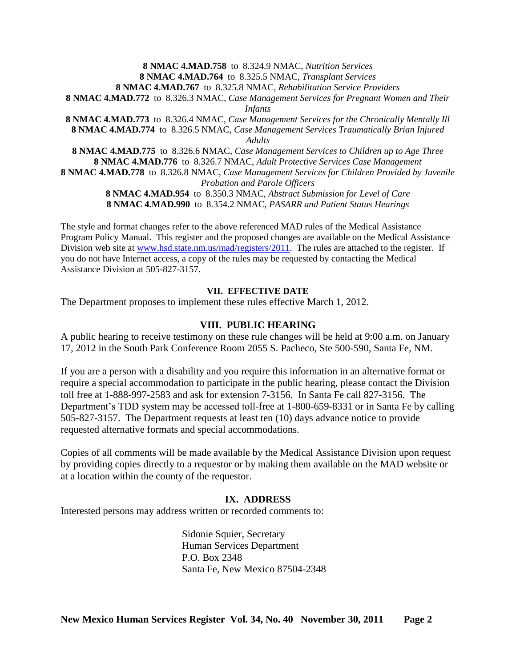**8 NMAC 4.MAD.758** to 8.324.9 NMAC, *Nutrition Services* **8 NMAC 4.MAD.764** to 8.325.5 NMAC, *Transplant Services* **8 NMAC 4.MAD.767** to 8.325.8 NMAC, *Rehabilitation Service Providers* **8 NMAC 4.MAD.772** to 8.326.3 NMAC, *Case Management Services for Pregnant Women and Their Infants* **8 NMAC 4.MAD.773** to 8.326.4 NMAC, *Case Management Services for the Chronically Mentally Ill* **8 NMAC 4.MAD.774** to 8.326.5 NMAC, *Case Management Services Traumatically Brian Injured Adults* **8 NMAC 4.MAD.775** to 8.326.6 NMAC, *Case Management Services to Children up to Age Three* **8 NMAC 4.MAD.776** to 8.326.7 NMAC, *Adult Protective Services Case Management* **8 NMAC 4.MAD.778** to 8.326.8 NMAC, *Case Management Services for Children Provided by Juvenile Probation and Parole Officers* **8 NMAC 4.MAD.954** to 8.350.3 NMAC, *Abstract Submission for Level of Care* **8 NMAC 4.MAD.990** to 8.354.2 NMAC, *PASARR and Patient Status Hearings*

The style and format changes refer to the above referenced MAD rules of the Medical Assistance Program Policy Manual. This register and the proposed changes are available on the Medical Assistance Division web site at [www.hsd.state.nm.us/mad/registers/2011.](http://www.hsd.state.nm.us/mad/registers/2011) The rules are attached to the register. If you do not have Internet access, a copy of the rules may be requested by contacting the Medical Assistance Division at 505-827-3157.

#### **VII. EFFECTIVE DATE**

The Department proposes to implement these rules effective March 1, 2012.

#### **VIII. PUBLIC HEARING**

A public hearing to receive testimony on these rule changes will be held at 9:00 a.m. on January 17, 2012 in the South Park Conference Room 2055 S. Pacheco, Ste 500-590, Santa Fe, NM.

If you are a person with a disability and you require this information in an alternative format or require a special accommodation to participate in the public hearing, please contact the Division toll free at 1-888-997-2583 and ask for extension 7-3156. In Santa Fe call 827-3156. The Department's TDD system may be accessed toll-free at 1-800-659-8331 or in Santa Fe by calling 505-827-3157. The Department requests at least ten (10) days advance notice to provide requested alternative formats and special accommodations.

Copies of all comments will be made available by the Medical Assistance Division upon request by providing copies directly to a requestor or by making them available on the MAD website or at a location within the county of the requestor.

#### **IX. ADDRESS**

Interested persons may address written or recorded comments to:

Sidonie Squier, Secretary Human Services Department P.O. Box 2348 Santa Fe, New Mexico 87504-2348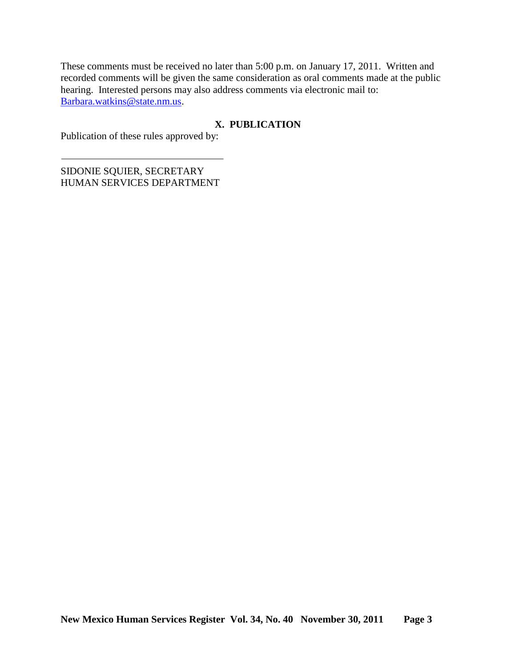These comments must be received no later than 5:00 p.m. on January 17, 2011. Written and recorded comments will be given the same consideration as oral comments made at the public hearing. Interested persons may also address comments via electronic mail to: [Barbara.watkins@state.nm.us.](mailto:Barbara.watkins@state.nm.us)

# **X. PUBLICATION**

Publication of these rules approved by:

SIDONIE SQUIER, SECRETARY HUMAN SERVICES DEPARTMENT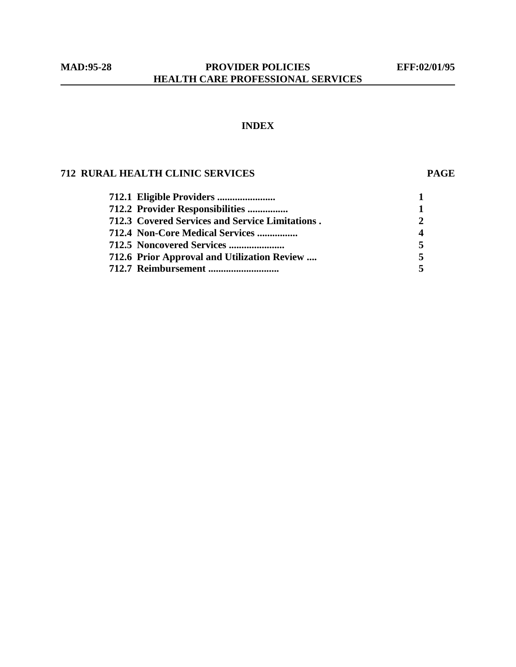## **INDEX**

# **712 RURAL HEALTH CLINIC SERVICES PAGE**

| 712.2 Provider Responsibilities                 |                  |
|-------------------------------------------------|------------------|
| 712.3 Covered Services and Service Limitations. |                  |
| 712.4 Non-Core Medical Services                 | $\boldsymbol{4}$ |
| 712.5 Noncovered Services                       | 5                |
| 712.6 Prior Approval and Utilization Review     |                  |
|                                                 |                  |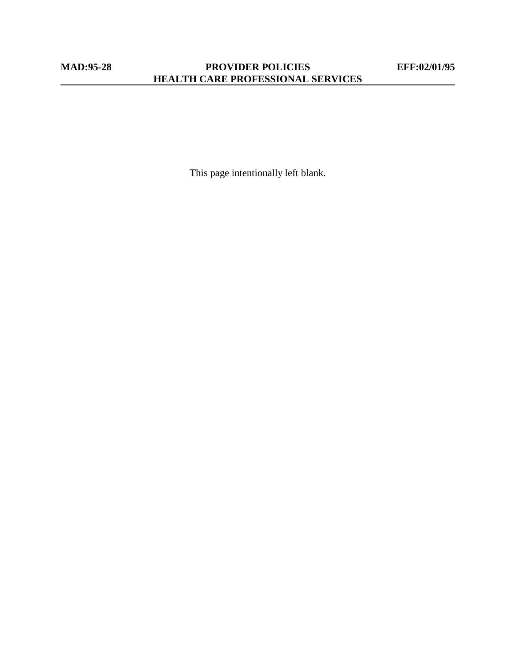This page intentionally left blank.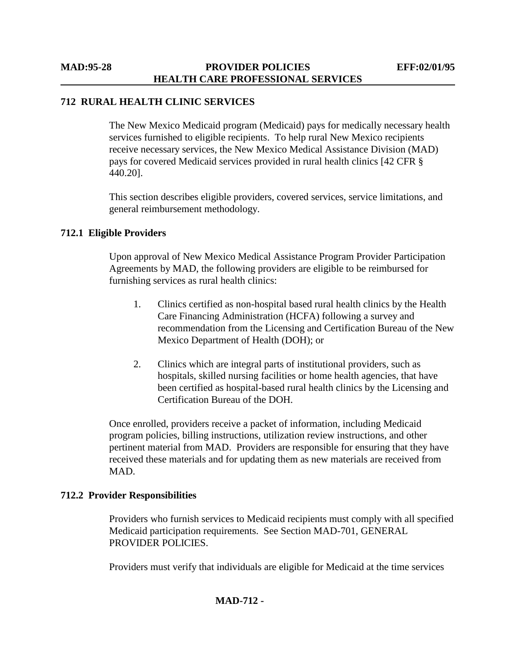## **712 RURAL HEALTH CLINIC SERVICES**

The New Mexico Medicaid program (Medicaid) pays for medically necessary health services furnished to eligible recipients. To help rural New Mexico recipients receive necessary services, the New Mexico Medical Assistance Division (MAD) pays for covered Medicaid services provided in rural health clinics [42 CFR § 440.20].

This section describes eligible providers, covered services, service limitations, and general reimbursement methodology.

#### **712.1 Eligible Providers**

Upon approval of New Mexico Medical Assistance Program Provider Participation Agreements by MAD, the following providers are eligible to be reimbursed for furnishing services as rural health clinics:

- 1. Clinics certified as non-hospital based rural health clinics by the Health Care Financing Administration (HCFA) following a survey and recommendation from the Licensing and Certification Bureau of the New Mexico Department of Health (DOH); or
- 2. Clinics which are integral parts of institutional providers, such as hospitals, skilled nursing facilities or home health agencies, that have been certified as hospital-based rural health clinics by the Licensing and Certification Bureau of the DOH.

Once enrolled, providers receive a packet of information, including Medicaid program policies, billing instructions, utilization review instructions, and other pertinent material from MAD. Providers are responsible for ensuring that they have received these materials and for updating them as new materials are received from MAD.

## **712.2 Provider Responsibilities**

Providers who furnish services to Medicaid recipients must comply with all specified Medicaid participation requirements. See Section MAD-701, GENERAL PROVIDER POLICIES.

Providers must verify that individuals are eligible for Medicaid at the time services

## **MAD-712 -**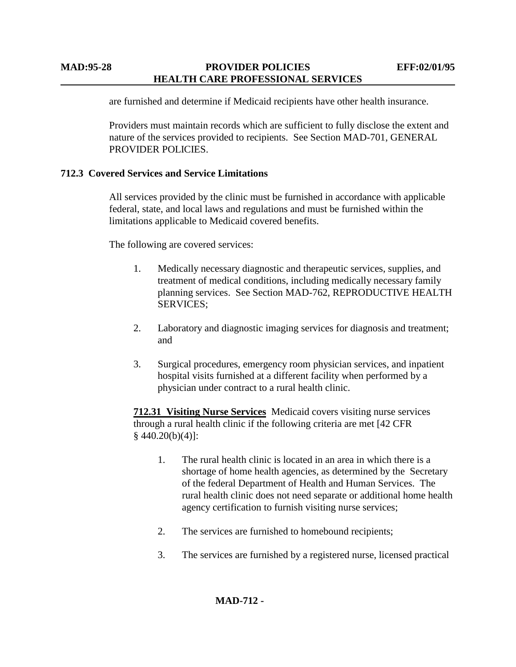are furnished and determine if Medicaid recipients have other health insurance.

Providers must maintain records which are sufficient to fully disclose the extent and nature of the services provided to recipients. See Section MAD-701, GENERAL PROVIDER POLICIES.

# **712.3 Covered Services and Service Limitations**

All services provided by the clinic must be furnished in accordance with applicable federal, state, and local laws and regulations and must be furnished within the limitations applicable to Medicaid covered benefits.

The following are covered services:

- 1. Medically necessary diagnostic and therapeutic services, supplies, and treatment of medical conditions, including medically necessary family planning services. See Section MAD-762, REPRODUCTIVE HEALTH SERVICES;
- 2. Laboratory and diagnostic imaging services for diagnosis and treatment; and
- 3. Surgical procedures, emergency room physician services, and inpatient hospital visits furnished at a different facility when performed by a physician under contract to a rural health clinic.

**712.31 Visiting Nurse Services** Medicaid covers visiting nurse services through a rural health clinic if the following criteria are met [42 CFR  $§$  440.20(b)(4)]:

- 1. The rural health clinic is located in an area in which there is a shortage of home health agencies, as determined by the Secretary of the federal Department of Health and Human Services. The rural health clinic does not need separate or additional home health agency certification to furnish visiting nurse services;
- 2. The services are furnished to homebound recipients;
- 3. The services are furnished by a registered nurse, licensed practical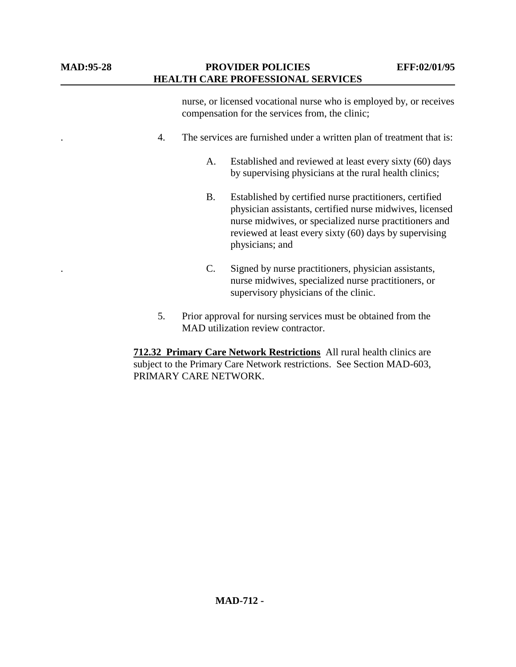nurse, or licensed vocational nurse who is employed by, or receives compensation for the services from, the clinic;

- . 4. The services are furnished under a written plan of treatment that is:
	- A. Established and reviewed at least every sixty (60) days by supervising physicians at the rural health clinics;
	- B. Established by certified nurse practitioners, certified physician assistants, certified nurse midwives, licensed nurse midwives, or specialized nurse practitioners and reviewed at least every sixty (60) days by supervising physicians; and
	- . C. Signed by nurse practitioners, physician assistants, nurse midwives, specialized nurse practitioners, or supervisory physicians of the clinic.
- 5. Prior approval for nursing services must be obtained from the MAD utilization review contractor.

**712.32 Primary Care Network Restrictions** All rural health clinics are subject to the Primary Care Network restrictions. See Section MAD-603, PRIMARY CARE NETWORK.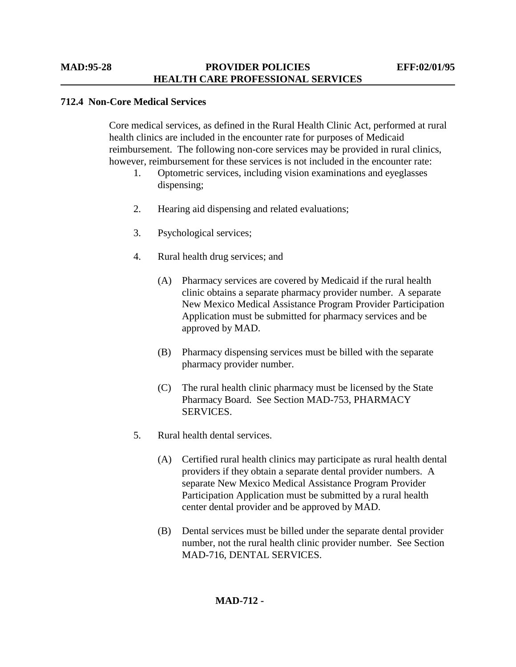#### **712.4 Non-Core Medical Services**

Core medical services, as defined in the Rural Health Clinic Act, performed at rural health clinics are included in the encounter rate for purposes of Medicaid reimbursement. The following non-core services may be provided in rural clinics, however, reimbursement for these services is not included in the encounter rate:

- 1. Optometric services, including vision examinations and eyeglasses dispensing;
- 2. Hearing aid dispensing and related evaluations;
- 3. Psychological services;
- 4. Rural health drug services; and
	- (A) Pharmacy services are covered by Medicaid if the rural health clinic obtains a separate pharmacy provider number. A separate New Mexico Medical Assistance Program Provider Participation Application must be submitted for pharmacy services and be approved by MAD.
	- (B) Pharmacy dispensing services must be billed with the separate pharmacy provider number.
	- (C) The rural health clinic pharmacy must be licensed by the State Pharmacy Board. See Section MAD-753, PHARMACY SERVICES.
- 5. Rural health dental services.
	- (A) Certified rural health clinics may participate as rural health dental providers if they obtain a separate dental provider numbers. A separate New Mexico Medical Assistance Program Provider Participation Application must be submitted by a rural health center dental provider and be approved by MAD.
	- (B) Dental services must be billed under the separate dental provider number, not the rural health clinic provider number. See Section MAD-716, DENTAL SERVICES.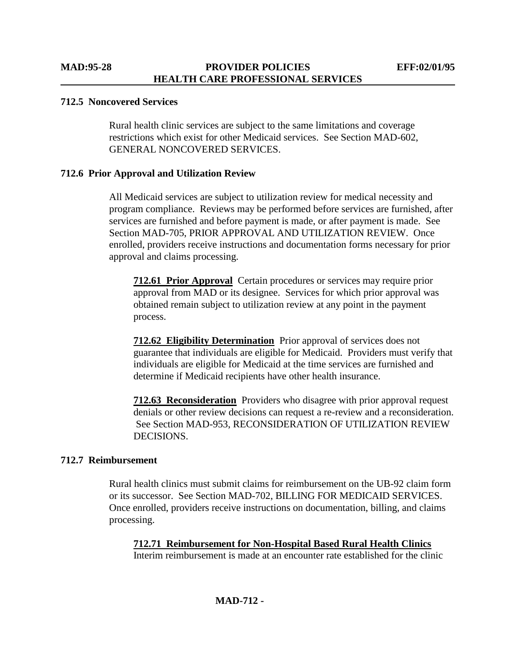## **712.5 Noncovered Services**

Rural health clinic services are subject to the same limitations and coverage restrictions which exist for other Medicaid services. See Section MAD-602, GENERAL NONCOVERED SERVICES.

# **712.6 Prior Approval and Utilization Review**

All Medicaid services are subject to utilization review for medical necessity and program compliance. Reviews may be performed before services are furnished, after services are furnished and before payment is made, or after payment is made. See Section MAD-705, PRIOR APPROVAL AND UTILIZATION REVIEW. Once enrolled, providers receive instructions and documentation forms necessary for prior approval and claims processing.

**712.61 Prior Approval** Certain procedures or services may require prior approval from MAD or its designee. Services for which prior approval was obtained remain subject to utilization review at any point in the payment process.

**712.62 Eligibility Determination** Prior approval of services does not guarantee that individuals are eligible for Medicaid. Providers must verify that individuals are eligible for Medicaid at the time services are furnished and determine if Medicaid recipients have other health insurance.

**712.63 Reconsideration** Providers who disagree with prior approval request denials or other review decisions can request a re-review and a reconsideration. See Section MAD-953, RECONSIDERATION OF UTILIZATION REVIEW DECISIONS.

## **712.7 Reimbursement**

Rural health clinics must submit claims for reimbursement on the UB-92 claim form or its successor. See Section MAD-702, BILLING FOR MEDICAID SERVICES. Once enrolled, providers receive instructions on documentation, billing, and claims processing.

**712.71 Reimbursement for Non-Hospital Based Rural Health Clinics** Interim reimbursement is made at an encounter rate established for the clinic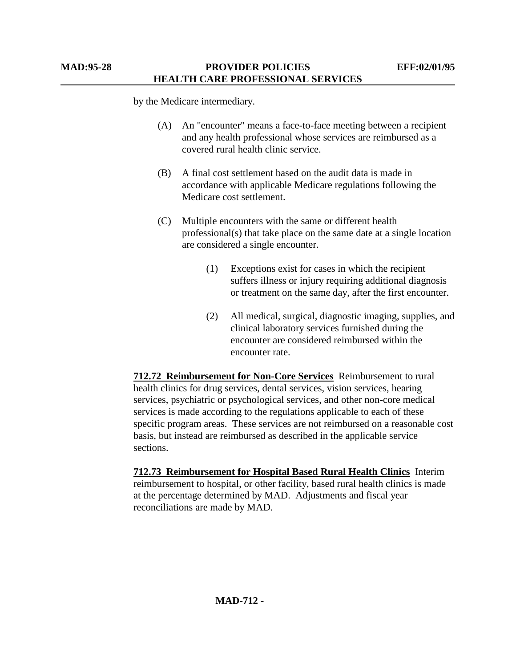by the Medicare intermediary.

- (A) An "encounter" means a face-to-face meeting between a recipient and any health professional whose services are reimbursed as a covered rural health clinic service.
- (B) A final cost settlement based on the audit data is made in accordance with applicable Medicare regulations following the Medicare cost settlement.
- (C) Multiple encounters with the same or different health professional(s) that take place on the same date at a single location are considered a single encounter.
	- (1) Exceptions exist for cases in which the recipient suffers illness or injury requiring additional diagnosis or treatment on the same day, after the first encounter.
	- (2) All medical, surgical, diagnostic imaging, supplies, and clinical laboratory services furnished during the encounter are considered reimbursed within the encounter rate.

**712.72 Reimbursement for Non-Core Services** Reimbursement to rural health clinics for drug services, dental services, vision services, hearing services, psychiatric or psychological services, and other non-core medical services is made according to the regulations applicable to each of these specific program areas. These services are not reimbursed on a reasonable cost basis, but instead are reimbursed as described in the applicable service sections.

**712.73 Reimbursement for Hospital Based Rural Health Clinics** Interim reimbursement to hospital, or other facility, based rural health clinics is made at the percentage determined by MAD. Adjustments and fiscal year reconciliations are made by MAD.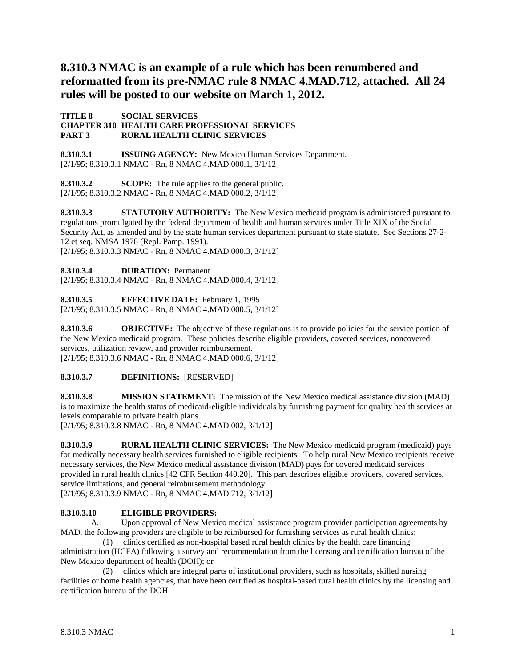# **8.310.3 NMAC is an example of a rule which has been renumbered and reformatted from its pre-NMAC rule 8 NMAC 4.MAD.712, attached. All 24 rules will be posted to our website on March 1, 2012.**

**TITLE 8 SOCIAL SERVICES CHAPTER 310 HEALTH CARE PROFESSIONAL SERVICES PART 3 RURAL HEALTH CLINIC SERVICES**

**8.310.3.1 ISSUING AGENCY:** New Mexico Human Services Department. [2/1/95; 8.310.3.1 NMAC - Rn, 8 NMAC 4.MAD.000.1, 3/1/12]

**8.310.3.2 SCOPE:** The rule applies to the general public. [2/1/95; 8.310.3.2 NMAC - Rn, 8 NMAC 4.MAD.000.2, 3/1/12]

**8.310.3.3 STATUTORY AUTHORITY:** The New Mexico medicaid program is administered pursuant to regulations promulgated by the federal department of health and human services under Title XIX of the Social Security Act, as amended and by the state human services department pursuant to state statute. See Sections 27-2- 12 et seq. NMSA 1978 (Repl. Pamp. 1991).

[2/1/95; 8.310.3.3 NMAC - Rn, 8 NMAC 4.MAD.000.3, 3/1/12]

**8.310.3.4 DURATION:** Permanent

[2/1/95; 8.310.3.4 NMAC - Rn, 8 NMAC 4.MAD.000.4, 3/1/12]

**8.310.3.5 EFFECTIVE DATE:** February 1, 1995 [2/1/95; 8.310.3.5 NMAC - Rn, 8 NMAC 4.MAD.000.5, 3/1/12]

**8.310.3.6 OBJECTIVE:** The objective of these regulations is to provide policies for the service portion of the New Mexico medicaid program. These policies describe eligible providers, covered services, noncovered services, utilization review, and provider reimbursement. [2/1/95; 8.310.3.6 NMAC - Rn, 8 NMAC 4.MAD.000.6, 3/1/12]

#### **8.310.3.7 DEFINITIONS:** [RESERVED]

**8.310.3.8 MISSION STATEMENT:** The mission of the New Mexico medical assistance division (MAD) is to maximize the health status of medicaid-eligible individuals by furnishing payment for quality health services at levels comparable to private health plans.

[2/1/95; 8.310.3.8 NMAC - Rn, 8 NMAC 4.MAD.002, 3/1/12]

**8.310.3.9 RURAL HEALTH CLINIC SERVICES:** The New Mexico medicaid program (medicaid) pays for medically necessary health services furnished to eligible recipients. To help rural New Mexico recipients receive necessary services, the New Mexico medical assistance division (MAD) pays for covered medicaid services provided in rural health clinics [42 CFR Section 440.20]. This part describes eligible providers, covered services, service limitations, and general reimbursement methodology. [2/1/95; 8.310.3.9 NMAC - Rn, 8 NMAC 4.MAD.712, 3/1/12]

#### **8.310.3.10 ELIGIBLE PROVIDERS:**

A. Upon approval of New Mexico medical assistance program provider participation agreements by MAD, the following providers are eligible to be reimbursed for furnishing services as rural health clinics:

 (1) clinics certified as non-hospital based rural health clinics by the health care financing administration (HCFA) following a survey and recommendation from the licensing and certification bureau of the New Mexico department of health (DOH); or

 (2) clinics which are integral parts of institutional providers, such as hospitals, skilled nursing facilities or home health agencies, that have been certified as hospital-based rural health clinics by the licensing and certification bureau of the DOH.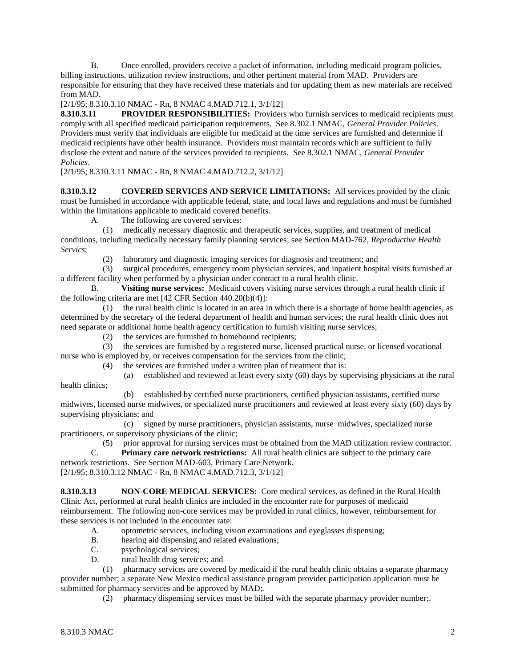B. Once enrolled, providers receive a packet of information, including medicaid program policies, billing instructions, utilization review instructions, and other pertinent material from MAD. Providers are responsible for ensuring that they have received these materials and for updating them as new materials are received from MAD.

[2/1/95; 8.310.3.10 NMAC - Rn, 8 NMAC 4.MAD.712.1, 3/1/12]

**8.310.3.11 PROVIDER RESPONSIBILITIES:** Providers who furnish services to medicaid recipients must comply with all specified medicaid participation requirements. See 8.302.1 NMAC, *General Provider Policies*. Providers must verify that individuals are eligible for medicaid at the time services are furnished and determine if medicaid recipients have other health insurance. Providers must maintain records which are sufficient to fully disclose the extent and nature of the services provided to recipients. See 8.302.1 NMAC, *General Provider Policies*.

[2/1/95; 8.310.3.11 NMAC - Rn, 8 NMAC 4.MAD.712.2, 3/1/12]

**8.310.3.12 COVERED SERVICES AND SERVICE LIMITATIONS:** All services provided by the clinic must be furnished in accordance with applicable federal, state, and local laws and regulations and must be furnished within the limitations applicable to medicaid covered benefits.

A. The following are covered services:

 (1) medically necessary diagnostic and therapeutic services, supplies, and treatment of medical conditions, including medically necessary family planning services; see Section MAD-762, *Reproductive Health Servics*;

(2) laboratory and diagnostic imaging services for diagnosis and treatment; and

 (3) surgical procedures, emergency room physician services, and inpatient hospital visits furnished at a different facility when performed by a physician under contract to a rural health clinic.

B. **Visiting nurse services:** Medicaid covers visiting nurse services through a rural health clinic if the following criteria are met [42 CFR Section 440.20(b)(4)]:

 (1) the rural health clinic is located in an area in which there is a shortage of home health agencies, as determined by the secretary of the federal department of health and human services; the rural health clinic does not need separate or additional home health agency certification to furnish visiting nurse services;

(2) the services are furnished to homebound recipients;

 (3) the services are furnished by a registered nurse, licensed practical nurse, or licensed vocational nurse who is employed by, or receives compensation for the services from the clinic;

(4) the services are furnished under a written plan of treatment that is:

 (a) established and reviewed at least every sixty (60) days by supervising physicians at the rural health clinics;

 (b) established by certified nurse practitioners, certified physician assistants, certified nurse midwives, licensed nurse midwives, or specialized nurse practitioners and reviewed at least every sixty (60) days by supervising physicians; and

 (c) signed by nurse practitioners, physician assistants, nurse midwives, specialized nurse practitioners, or supervisory physicians of the clinic;

(5) prior approval for nursing services must be obtained from the MAD utilization review contractor.

C. **Primary care network restrictions:** All rural health clinics are subject to the primary care network restrictions. See Section MAD-603, Primary Care Network. [2/1/95; 8.310.3.12 NMAC - Rn, 8 NMAC 4.MAD.712.3, 3/1/12]

**8.310.3.13 NON-CORE MEDICAL SERVICES:** Core medical services, as defined in the Rural Health Clinic Act, performed at rural health clinics are included in the encounter rate for purposes of medicaid reimbursement. The following non-core services may be provided in rural clinics, however, reimbursement for these services is not included in the encounter rate:

- A. optometric services, including vision examinations and eyeglasses dispensing;
- B. hearing aid dispensing and related evaluations;
- C. psychological services;
- D. rural health drug services; and

 (1) pharmacy services are covered by medicaid if the rural health clinic obtains a separate pharmacy provider number; a separate New Mexico medical assistance program provider participation application must be submitted for pharmacy services and be approved by MAD;.

(2) pharmacy dispensing services must be billed with the separate pharmacy provider number;.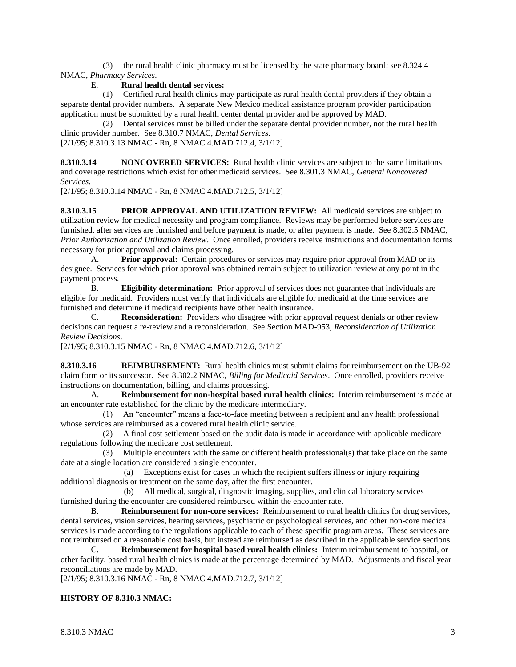(3) the rural health clinic pharmacy must be licensed by the state pharmacy board; see 8.324.4 NMAC, *Pharmacy Services*.

#### E. **Rural health dental services:**

 (1) Certified rural health clinics may participate as rural health dental providers if they obtain a separate dental provider numbers. A separate New Mexico medical assistance program provider participation application must be submitted by a rural health center dental provider and be approved by MAD.

 (2) Dental services must be billed under the separate dental provider number, not the rural health clinic provider number. See 8.310.7 NMAC, *Dental Services*.

[2/1/95; 8.310.3.13 NMAC - Rn, 8 NMAC 4.MAD.712.4, 3/1/12]

**8.310.3.14 NONCOVERED SERVICES:** Rural health clinic services are subject to the same limitations and coverage restrictions which exist for other medicaid services. See 8.301.3 NMAC, *General Noncovered Services*.

[2/1/95; 8.310.3.14 NMAC - Rn, 8 NMAC 4.MAD.712.5, 3/1/12]

**8.310.3.15 PRIOR APPROVAL AND UTILIZATION REVIEW:** All medicaid services are subject to utilization review for medical necessity and program compliance. Reviews may be performed before services are furnished, after services are furnished and before payment is made, or after payment is made. See 8.302.5 NMAC, *Prior Authorization and Utilization Review*. Once enrolled, providers receive instructions and documentation forms necessary for prior approval and claims processing.

A. **Prior approval:** Certain procedures or services may require prior approval from MAD or its designee. Services for which prior approval was obtained remain subject to utilization review at any point in the payment process.

B. **Eligibility determination:** Prior approval of services does not guarantee that individuals are eligible for medicaid. Providers must verify that individuals are eligible for medicaid at the time services are furnished and determine if medicaid recipients have other health insurance.

C. **Reconsideration:** Providers who disagree with prior approval request denials or other review decisions can request a re-review and a reconsideration. See Section MAD-953, *Reconsideration of Utilization Review Decisions*.

[2/1/95; 8.310.3.15 NMAC - Rn, 8 NMAC 4.MAD.712.6, 3/1/12]

**8.310.3.16 REIMBURSEMENT:** Rural health clinics must submit claims for reimbursement on the UB-92 claim form or its successor. See 8.302.2 NMAC, *Billing for Medicaid Services*. Once enrolled, providers receive instructions on documentation, billing, and claims processing.

A. **Reimbursement for non-hospital based rural health clinics:** Interim reimbursement is made at an encounter rate established for the clinic by the medicare intermediary.

 (1) An "encounter" means a face-to-face meeting between a recipient and any health professional whose services are reimbursed as a covered rural health clinic service.

 (2) A final cost settlement based on the audit data is made in accordance with applicable medicare regulations following the medicare cost settlement.

 (3) Multiple encounters with the same or different health professional(s) that take place on the same date at a single location are considered a single encounter.

 (a) Exceptions exist for cases in which the recipient suffers illness or injury requiring additional diagnosis or treatment on the same day, after the first encounter.

 (b) All medical, surgical, diagnostic imaging, supplies, and clinical laboratory services furnished during the encounter are considered reimbursed within the encounter rate.

B. **Reimbursement for non-core services:** Reimbursement to rural health clinics for drug services, dental services, vision services, hearing services, psychiatric or psychological services, and other non-core medical services is made according to the regulations applicable to each of these specific program areas. These services are not reimbursed on a reasonable cost basis, but instead are reimbursed as described in the applicable service sections.

C. **Reimbursement for hospital based rural health clinics:** Interim reimbursement to hospital, or other facility, based rural health clinics is made at the percentage determined by MAD. Adjustments and fiscal year reconciliations are made by MAD.

[2/1/95; 8.310.3.16 NMAC - Rn, 8 NMAC 4.MAD.712.7, 3/1/12]

#### **HISTORY OF 8.310.3 NMAC:**